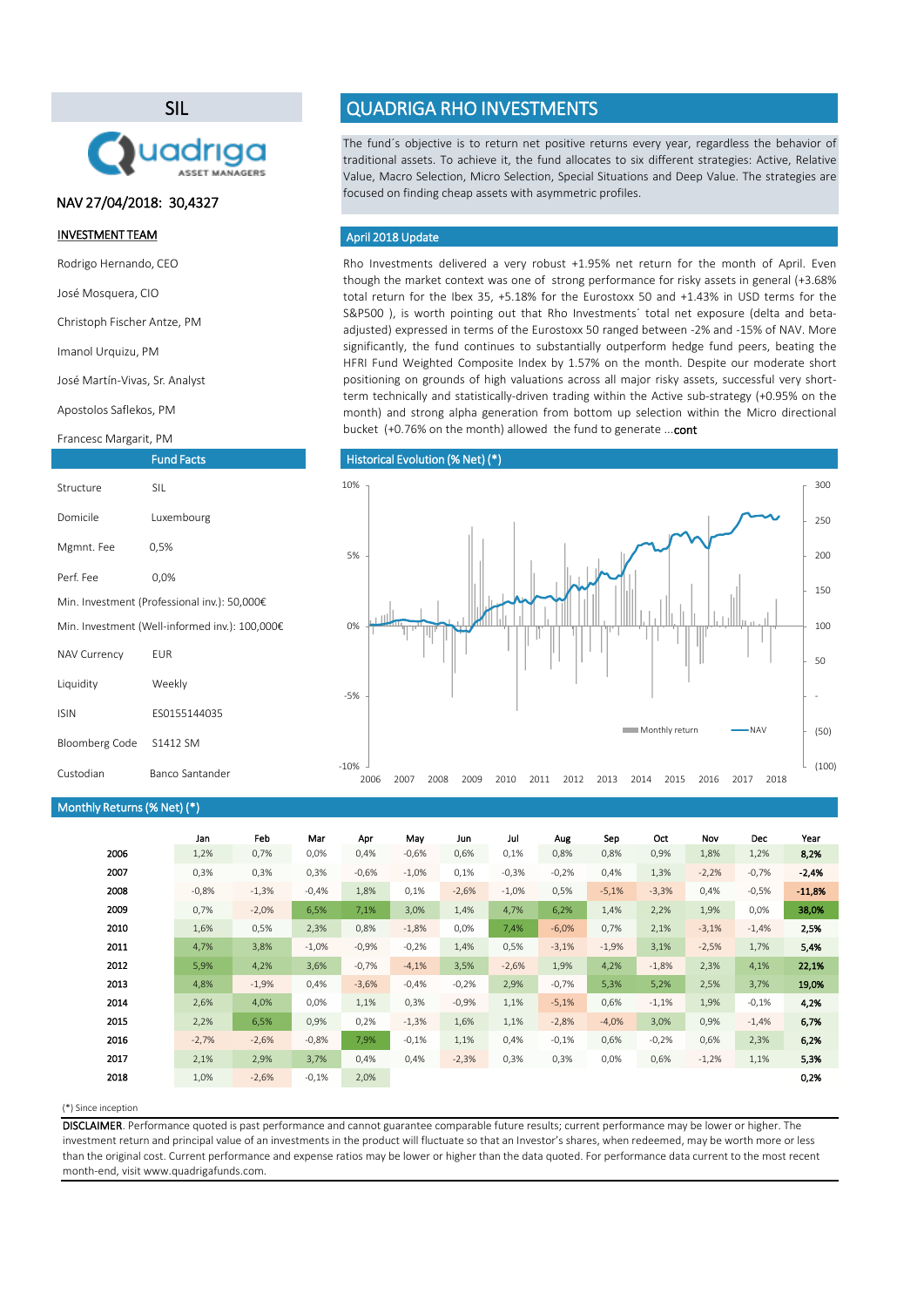### (\*) Since inception

|      | Jan     | Feb     | Mar      | Apr     | May      | Jun     | Jul      | Aug     | Sep     | Oct     | Nov     | <b>Dec</b> | Year     |
|------|---------|---------|----------|---------|----------|---------|----------|---------|---------|---------|---------|------------|----------|
| 2006 | 1,2%    | 0,7%    | 0,0%     | 0,4%    | $-0,6%$  | 0,6%    | 0,1%     | 0,8%    | 0,8%    | 0,9%    | 1,8%    | 1,2%       | 8,2%     |
| 2007 | 0,3%    | 0,3%    | 0,3%     | $-0,6%$ | $-1,0\%$ | 0,1%    | $-0,3%$  | $-0,2%$ | 0,4%    | 1,3%    | $-2,2%$ | $-0,7%$    | $-2,4%$  |
| 2008 | $-0,8%$ | $-1,3%$ | $-0,4%$  | 1,8%    | 0,1%     | $-2,6%$ | $-1,0\%$ | 0,5%    | $-5,1%$ | $-3,3%$ | 0,4%    | $-0,5%$    | $-11,8%$ |
| 2009 | 0,7%    | $-2,0%$ | 6,5%     | 7,1%    | 3,0%     | 1,4%    | 4,7%     | 6,2%    | 1,4%    | 2,2%    | 1,9%    | $0,0\%$    | 38,0%    |
| 2010 | 1,6%    | 0,5%    | 2,3%     | 0,8%    | $-1,8%$  | 0,0%    | 7,4%     | $-6,0%$ | 0,7%    | 2,1%    | $-3,1%$ | $-1,4%$    | 2,5%     |
| 2011 | 4,7%    | 3,8%    | $-1,0\%$ | $-0,9%$ | $-0,2%$  | 1,4%    | 0,5%     | $-3,1%$ | $-1,9%$ | 3,1%    | $-2,5%$ | 1,7%       | 5,4%     |
| 2012 | 5,9%    | 4,2%    | 3,6%     | $-0,7%$ | $-4,1%$  | 3,5%    | $-2,6%$  | 1,9%    | 4,2%    | $-1,8%$ | 2,3%    | 4,1%       | 22,1%    |
| 2013 | 4,8%    | $-1,9%$ | 0,4%     | $-3,6%$ | $-0,4%$  | $-0,2%$ | 2,9%     | $-0,7%$ | 5,3%    | 5,2%    | 2,5%    | 3,7%       | 19,0%    |
| 2014 | 2,6%    | 4,0%    | $0,0\%$  | 1,1%    | 0,3%     | $-0,9%$ | 1,1%     | $-5,1%$ | 0,6%    | $-1,1%$ | 1,9%    | $-0,1%$    | 4,2%     |
| 2015 | 2,2%    | 6,5%    | 0,9%     | 0,2%    | $-1,3%$  | 1,6%    | 1,1%     | $-2,8%$ | $-4,0%$ | 3,0%    | 0,9%    | $-1,4%$    | 6,7%     |
| 2016 | $-2,7%$ | $-2,6%$ | $-0,8%$  | 7,9%    | $-0,1%$  | 1,1%    | 0,4%     | $-0,1%$ | 0,6%    | $-0,2%$ | 0,6%    | 2,3%       | 6,2%     |
| 2017 | 2,1%    | 2,9%    | 3,7%     | 0,4%    | 0,4%     | $-2,3%$ | 0,3%     | 0,3%    | 0,0%    | 0,6%    | $-1,2%$ | 1,1%       | 5,3%     |
| 2018 | 1,0%    | $-2,6%$ | $-0,1%$  | 2,0%    |          |         |          |         |         |         |         |            | 0,2%     |

Rho Investments delivered a very robust +1.95% net return for the month of April. Even though the market context was one of strong performance for risky assets in general (+3.68% total return for the Ibex 35, +5.18% for the Eurostoxx 50 and +1.43% in USD terms for the S&P500 ), is worth pointing out that Rho Investments´ total net exposure (delta and betaadjusted) expressed in terms of the Eurostoxx 50 ranged between -2% and -15% of NAV. More significantly, the fund continues to substantially outperform hedge fund peers, beating the HFRI Fund Weighted Composite Index by 1.57% on the month. Despite our moderate short positioning on grounds of high valuations across all major risky assets, successful very shortterm technically and statistically-driven trading within the Active sub-strategy (+0.95% on the month) and strong alpha generation from bottom up selection within the Micro directional bucket (+0.76% on the month) allowed the fund to generate ...cont

The fund´s objective is to return net positive returns every year, regardless the behavior of traditional assets. To achieve it, the fund allocates to six different strategies: Active, Relative Value, Macro Selection, Micro Selection, Special Situations and Deep Value. The strategies are focused on finding cheap assets with asymmetric profiles.

DISCLAIMER. Performance quoted is past performance and cannot guarantee comparable future results; current performance may be lower or higher. The investment return and principal value of an investments in the product will fluctuate so that an Investor's shares, when redeemed, may be worth more or less than the original cost. Current performance and expense ratios may be lower or higher than the data quoted. For performance data current to the most recent month-end, visit www.quadrigafunds.com.

### INVESTMENT TEAM

Rodrigo Hernando, CEO

José Mosquera, CIO

Christoph Fischer Antze, PM

Imanol Urquizu, PM

José Martín-Vivas, Sr. Analyst

Apostolos Saflekos, PM

### Francesc Margarit, PM

# SIL



# QUADRIGA RHO INVESTMENTS

| <b>Fund Facts</b>                              |                                              |  |  |  |  |  |
|------------------------------------------------|----------------------------------------------|--|--|--|--|--|
| Structure                                      | <b>SIL</b>                                   |  |  |  |  |  |
| Domicile                                       | Luxembourg                                   |  |  |  |  |  |
| Mgmnt. Fee                                     | 0,5%                                         |  |  |  |  |  |
| Perf. Fee                                      | $0,0\%$                                      |  |  |  |  |  |
|                                                | Min. Investment (Professional inv.): 50,000€ |  |  |  |  |  |
| Min. Investment (Well-informed inv.): 100,000€ |                                              |  |  |  |  |  |
| <b>NAV Currency</b>                            | <b>EUR</b>                                   |  |  |  |  |  |
| Liquidity                                      | Weekly                                       |  |  |  |  |  |
| <b>ISIN</b>                                    | ES0155144035                                 |  |  |  |  |  |
| <b>Bloomberg Code</b>                          | S1412 SM                                     |  |  |  |  |  |

| Custodian<br><b>Banco Santander</b> |
|-------------------------------------|
|                                     |

# Monthly Returns(% Net) (\*)

### April 2018 Update

## Historical Evolution (% Net) (\*)

# NAV 27/04/2018: 30,4327

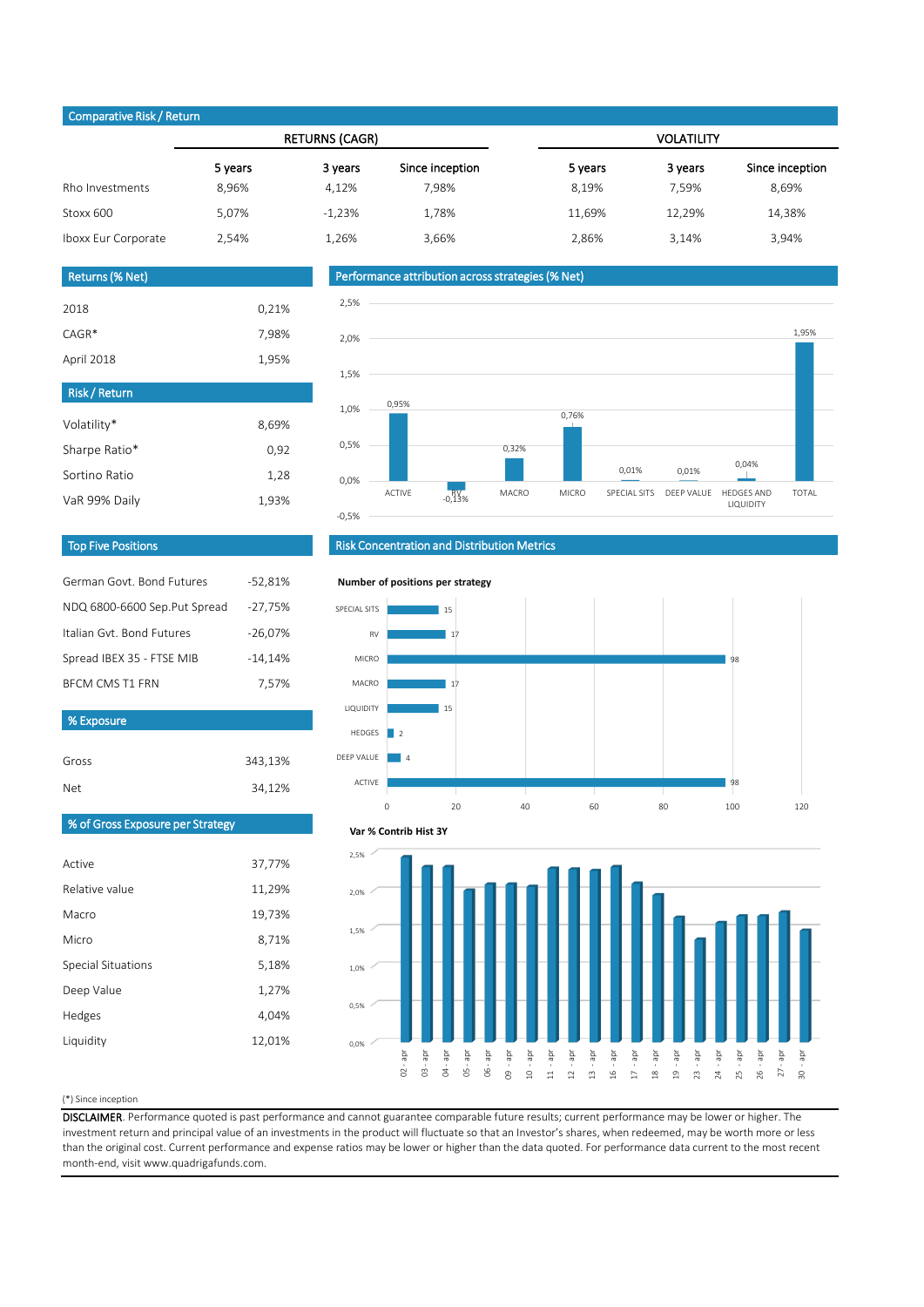### (\*) Since inception

Gross

DISCLAIMER. Performance quoted is past performance and cannot guarantee comparable future results; current performance may be lower or higher. The investment return and principal value of an investments in the product will fluctuate so that an Investor's shares, when redeemed, may be worth more or less than the original cost. Current performance and expense ratios may be lower or higher than the data quoted. For performance data current to the most recent month-end, visit www.quadrigafunds.com.

| Net | 34,12% |
|-----|--------|
|     |        |

Active

Relative value

| Comparative mony netarin |                       |          |                 |                   |         |                 |  |  |
|--------------------------|-----------------------|----------|-----------------|-------------------|---------|-----------------|--|--|
|                          | <b>RETURNS (CAGR)</b> |          |                 | <b>VOLATILITY</b> |         |                 |  |  |
|                          | 5 years               | 3 years  | Since inception | 5 years           | 3 years | Since inception |  |  |
| Rho Investments          | 8,96%                 | 4,12%    | 7,98%           | 8,19%             | 7,59%   | 8,69%           |  |  |
| Stoxx 600                | 5,07%                 | $-1,23%$ | 1,78%           | 11,69%            | 12,29%  | 14,38%          |  |  |
| Iboxx Eur Corporate      | 2,54%                 | 1,26%    | 3,66%           | 2,86%             | 3,14%   | 3,94%           |  |  |

343,13%

Macro

Micro

Special Situations

Deep Value

Hedges

Liquidity

| Volatility*   | 8,69% |
|---------------|-------|
| Sharpe Ratio* | 0,92  |
| Sortino Ratio | 1,28  |
| VaR 99% Daily | 1,93% |

| German Govt, Bond Futures    | $-52,81%$ |
|------------------------------|-----------|
| NDQ 6800-6600 Sep.Put Spread | $-27,75%$ |
| Italian Gyt, Bond Futures    | $-26,07%$ |
| Spread IBEX 35 - FTSE MIB    | $-14,14%$ |
| <b>BECM CMS T1 FRN</b>       | 7,57%     |
| % Exposure                   |           |
|                              |           |

| <b>Returns (% Net)</b> |       |
|------------------------|-------|
| 2018                   |       |
|                        | 0,21% |
| $CAGR*$                | 7,98% |
| April 2018             | 1,95% |
| <b>Risk/Return</b>     |       |

# Top Five Positions



% of Gross Exposure per Strategy

# Risk Concentration and Distribution Metrics

# Performance attribution across strategies (% Net)

### Comparative Risk / Return







#### **Number of positions per strategy**

27 - apr

30 - apr

### **Var % Contrib Hist 3Y**